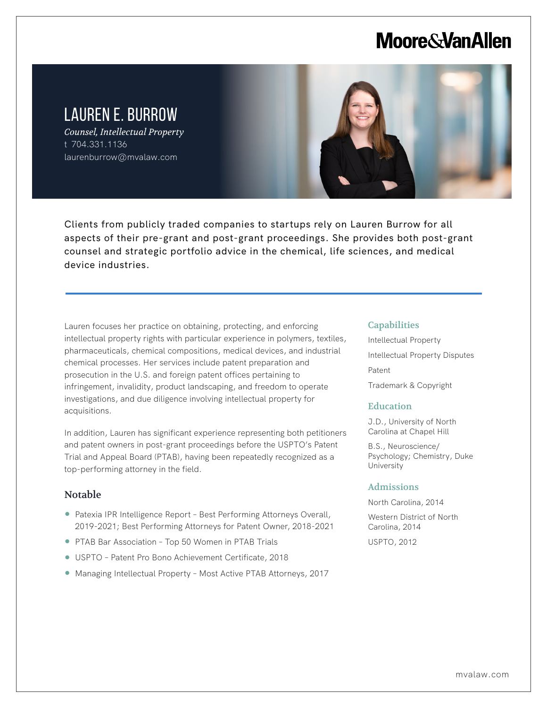# **Moore & Van Allen**

# LAUREN E. BURROW

*Counsel, Intellectual Property* t 704.331.1136 laurenburrow@mvalaw.com



Clients from publicly traded companies to startups rely on Lauren Burrow for all aspects of their pre-grant and post-grant proceedings. She provides both post-grant counsel and strategic portfolio advice in the chemical, life sciences, and medical device industries.

Lauren focuses her practice on obtaining, protecting, and enforcing intellectual property rights with particular experience in polymers, textiles, pharmaceuticals, chemical compositions, medical devices, and industrial chemical processes. Her services include patent preparation and prosecution in the U.S. and foreign patent offices pertaining to infringement, invalidity, product landscaping, and freedom to operate investigations, and due diligence involving intellectual property for acquisitions.

In addition, Lauren has significant experience representing both petitioners and patent owners in post-grant proceedings before the USPTO's Patent Trial and Appeal Board (PTAB), having been repeatedly recognized as a top-performing attorney in the field.

### Notable

L

- Patexia IPR Intelligence Report Best Performing Attorneys Overall, 2019-2021; Best Performing Attorneys for Patent Owner, 2018-2021
- PTAB Bar Association Top 50 Women in PTAB Trials
- USPTO Patent Pro Bono Achievement Certificate, 2018
- Managing Intellectual Property Most Active PTAB Attorneys, 2017

#### **Capabilities**

Intellectual Property Intellectual Property Disputes Patent Trademark & Copyright

#### **Education**

J.D., University of North Carolina at Chapel Hill

B.S., Neuroscience/ Psychology; Chemistry, Duke University

#### Admissions

North Carolina, 2014

Western District of North Carolina, 2014 USPTO, 2012